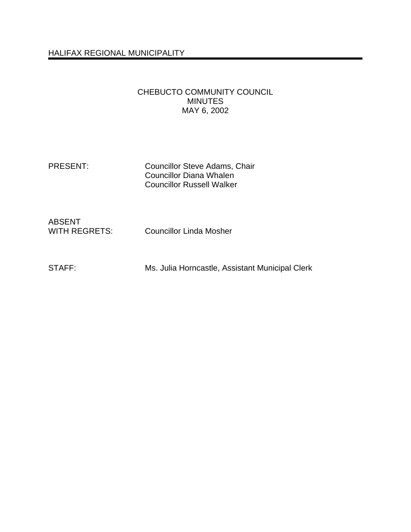## HALIFAX REGIONAL MUNICIPALITY

#### CHEBUCTO COMMUNITY COUNCIL MINUTES MAY 6, 2002

PRESENT: Councillor Steve Adams, Chair Councillor Diana Whalen Councillor Russell Walker

ABSENT

WITH REGRETS: Councillor Linda Mosher

STAFF: Ms. Julia Horncastle, Assistant Municipal Clerk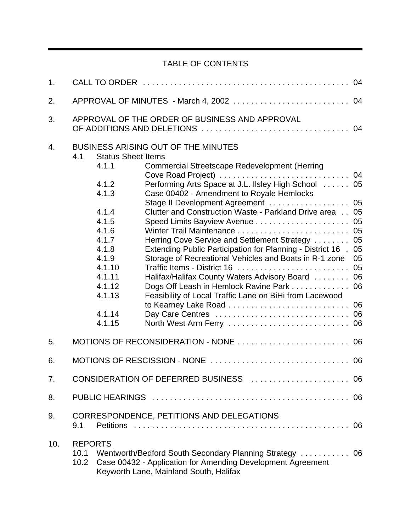# TABLE OF CONTENTS

| 1.               | 04                                                                                                                                                                                                 |                                                                                                                                                                        |                                                                                                                                                                                                                                                                                                                                                                                                                                                                                                                                                                                                                                                                                                                                  |                                                                            |  |
|------------------|----------------------------------------------------------------------------------------------------------------------------------------------------------------------------------------------------|------------------------------------------------------------------------------------------------------------------------------------------------------------------------|----------------------------------------------------------------------------------------------------------------------------------------------------------------------------------------------------------------------------------------------------------------------------------------------------------------------------------------------------------------------------------------------------------------------------------------------------------------------------------------------------------------------------------------------------------------------------------------------------------------------------------------------------------------------------------------------------------------------------------|----------------------------------------------------------------------------|--|
| 2.               |                                                                                                                                                                                                    |                                                                                                                                                                        |                                                                                                                                                                                                                                                                                                                                                                                                                                                                                                                                                                                                                                                                                                                                  |                                                                            |  |
| 3.               | APPROVAL OF THE ORDER OF BUSINESS AND APPROVAL                                                                                                                                                     |                                                                                                                                                                        |                                                                                                                                                                                                                                                                                                                                                                                                                                                                                                                                                                                                                                                                                                                                  |                                                                            |  |
| $\overline{4}$ . | 4.1                                                                                                                                                                                                | <b>Status Sheet Items</b><br>4.1.1<br>4.1.2<br>4.1.3<br>4.1.4<br>4.1.5<br>4.1.6<br>4.1.7<br>4.1.8<br>4.1.9<br>4.1.10<br>4.1.11<br>4.1.12<br>4.1.13<br>4.1.14<br>4.1.15 | <b>BUSINESS ARISING OUT OF THE MINUTES</b><br><b>Commercial Streetscape Redevelopment (Herring</b><br>Performing Arts Space at J.L. IIsley High School  05<br>Case 00402 - Amendment to Royale Hemlocks<br>Stage II Development Agreement<br>Clutter and Construction Waste - Parkland Drive area<br>Herring Cove Service and Settlement Strategy<br>Extending Public Participation for Planning - District 16.<br>Storage of Recreational Vehicles and Boats in R-1 zone<br>Traffic Items - District 16<br>Halifax/Halifax County Waters Advisory Board<br>Dogs Off Leash in Hemlock Ravine Park<br>Feasibility of Local Traffic Lane on BiHi from Lacewood<br>to Kearney Lake Road<br>Day Care Centres<br>North West Arm Ferry | 05<br>05<br>05<br>05<br>05<br>05<br>05<br>05<br>06<br>06<br>06<br>06<br>06 |  |
| 5.               |                                                                                                                                                                                                    |                                                                                                                                                                        |                                                                                                                                                                                                                                                                                                                                                                                                                                                                                                                                                                                                                                                                                                                                  |                                                                            |  |
| 6.               | 06                                                                                                                                                                                                 |                                                                                                                                                                        |                                                                                                                                                                                                                                                                                                                                                                                                                                                                                                                                                                                                                                                                                                                                  |                                                                            |  |
| 7.               |                                                                                                                                                                                                    |                                                                                                                                                                        |                                                                                                                                                                                                                                                                                                                                                                                                                                                                                                                                                                                                                                                                                                                                  |                                                                            |  |
| 8.               |                                                                                                                                                                                                    |                                                                                                                                                                        |                                                                                                                                                                                                                                                                                                                                                                                                                                                                                                                                                                                                                                                                                                                                  |                                                                            |  |
| 9.               | CORRESPONDENCE, PETITIONS AND DELEGATIONS<br>9.1                                                                                                                                                   |                                                                                                                                                                        |                                                                                                                                                                                                                                                                                                                                                                                                                                                                                                                                                                                                                                                                                                                                  |                                                                            |  |
| 10.              | <b>REPORTS</b><br>Wentworth/Bedford South Secondary Planning Strategy  06<br>10.1<br>Case 00432 - Application for Amending Development Agreement<br>10.2<br>Keyworth Lane, Mainland South, Halifax |                                                                                                                                                                        |                                                                                                                                                                                                                                                                                                                                                                                                                                                                                                                                                                                                                                                                                                                                  |                                                                            |  |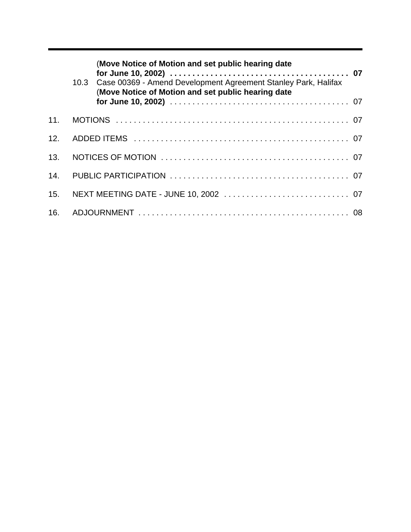|     |  | (Move Notice of Motion and set public hearing date<br>10.3 Case 00369 - Amend Development Agreement Stanley Park, Halifax<br>(Move Notice of Motion and set public hearing date |  |  |
|-----|--|---------------------------------------------------------------------------------------------------------------------------------------------------------------------------------|--|--|
|     |  |                                                                                                                                                                                 |  |  |
| 11. |  |                                                                                                                                                                                 |  |  |
| 12. |  |                                                                                                                                                                                 |  |  |
| 13. |  |                                                                                                                                                                                 |  |  |
| 14. |  |                                                                                                                                                                                 |  |  |
| 15. |  |                                                                                                                                                                                 |  |  |
| 16. |  |                                                                                                                                                                                 |  |  |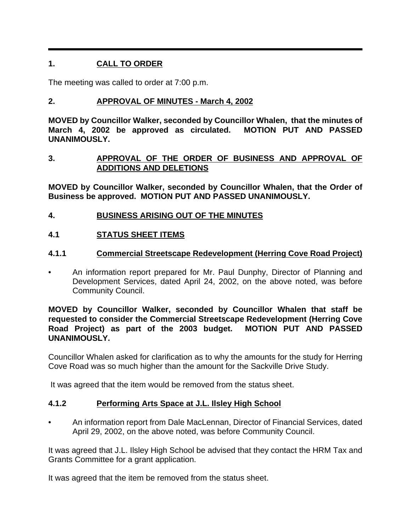# **1. CALL TO ORDER**

The meeting was called to order at 7:00 p.m.

## **2. APPROVAL OF MINUTES - March 4, 2002**

**MOVED by Councillor Walker, seconded by Councillor Whalen, that the minutes of March 4, 2002 be approved as circulated. MOTION PUT AND PASSED UNANIMOUSLY.**

#### **3. APPROVAL OF THE ORDER OF BUSINESS AND APPROVAL OF ADDITIONS AND DELETIONS**

**MOVED by Councillor Walker, seconded by Councillor Whalen, that the Order of Business be approved. MOTION PUT AND PASSED UNANIMOUSLY.**

- **4. BUSINESS ARISING OUT OF THE MINUTES**
- **4.1 STATUS SHEET ITEMS**

#### **4.1.1 Commercial Streetscape Redevelopment (Herring Cove Road Project)**

• An information report prepared for Mr. Paul Dunphy, Director of Planning and Development Services, dated April 24, 2002, on the above noted, was before Community Council.

#### **MOVED by Councillor Walker, seconded by Councillor Whalen that staff be requested to consider the Commercial Streetscape Redevelopment (Herring Cove Road Project) as part of the 2003 budget. MOTION PUT AND PASSED UNANIMOUSLY.**

Councillor Whalen asked for clarification as to why the amounts for the study for Herring Cove Road was so much higher than the amount for the Sackville Drive Study.

It was agreed that the item would be removed from the status sheet.

#### **4.1.2 Performing Arts Space at J.L. Ilsley High School**

• An information report from Dale MacLennan, Director of Financial Services, dated April 29, 2002, on the above noted, was before Community Council.

It was agreed that J.L. Ilsley High School be advised that they contact the HRM Tax and Grants Committee for a grant application.

It was agreed that the item be removed from the status sheet.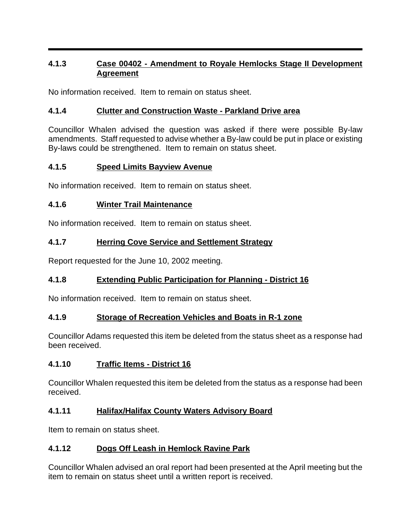# **4.1.3 Case 00402 - Amendment to Royale Hemlocks Stage II Development Agreement**

No information received. Item to remain on status sheet.

#### **4.1.4 Clutter and Construction Waste - Parkland Drive area**

Councillor Whalen advised the question was asked if there were possible By-law amendments. Staff requested to advise whether a By-law could be put in place or existing By-laws could be strengthened. Item to remain on status sheet.

#### **4.1.5 Speed Limits Bayview Avenue**

No information received. Item to remain on status sheet.

#### **4.1.6 Winter Trail Maintenance**

No information received. Item to remain on status sheet.

## **4.1.7 Herring Cove Service and Settlement Strategy**

Report requested for the June 10, 2002 meeting.

# **4.1.8 Extending Public Participation for Planning - District 16**

No information received. Item to remain on status sheet.

## **4.1.9 Storage of Recreation Vehicles and Boats in R-1 zone**

Councillor Adams requested this item be deleted from the status sheet as a response had been received.

## **4.1.10 Traffic Items - District 16**

Councillor Whalen requested this item be deleted from the status as a response had been received.

## **4.1.11 Halifax/Halifax County Waters Advisory Board**

Item to remain on status sheet.

## **4.1.12 Dogs Off Leash in Hemlock Ravine Park**

Councillor Whalen advised an oral report had been presented at the April meeting but the item to remain on status sheet until a written report is received.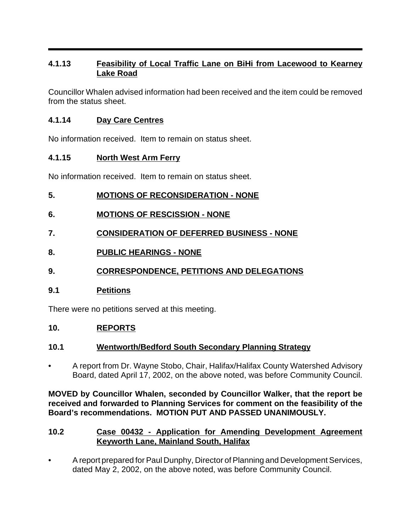# **4.1.13 Feasibility of Local Traffic Lane on BiHi from Lacewood to Kearney Lake Road**

Councillor Whalen advised information had been received and the item could be removed from the status sheet.

## **4.1.14 Day Care Centres**

No information received. Item to remain on status sheet.

## **4.1.15 North West Arm Ferry**

No information received. Item to remain on status sheet.

- **5. MOTIONS OF RECONSIDERATION NONE**
- **6. MOTIONS OF RESCISSION NONE**
- **7. CONSIDERATION OF DEFERRED BUSINESS NONE**

## **8. PUBLIC HEARINGS - NONE**

**9. CORRESPONDENCE, PETITIONS AND DELEGATIONS**

#### **9.1 Petitions**

There were no petitions served at this meeting.

#### **10. REPORTS**

#### **10.1 Wentworth/Bedford South Secondary Planning Strategy**

• A report from Dr. Wayne Stobo, Chair, Halifax/Halifax County Watershed Advisory Board, dated April 17, 2002, on the above noted, was before Community Council.

**MOVED by Councillor Whalen, seconded by Councillor Walker, that the report be received and forwarded to Planning Services for comment on the feasibility of the Board's recommendations. MOTION PUT AND PASSED UNANIMOUSLY.**

#### **10.2 Case 00432 - Application for Amending Development Agreement Keyworth Lane, Mainland South, Halifax**

• A report prepared for Paul Dunphy, Director of Planning and Development Services, dated May 2, 2002, on the above noted, was before Community Council.